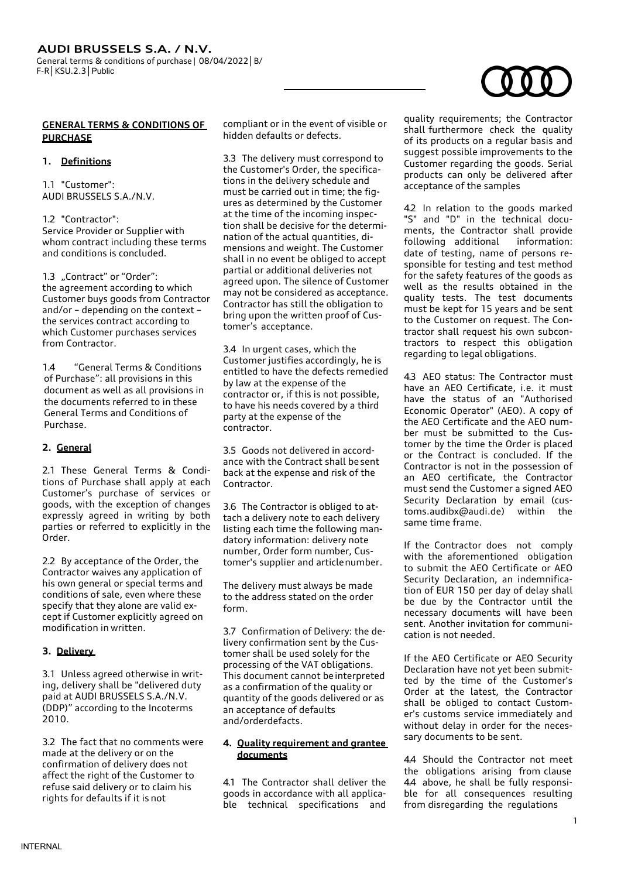# **GENERAL TERMS & CONDITIONS OF PURCHASE**

### **1. Definitions**

1.1 "Customer": AUDI BRUSSELS S.A./N.V.

1.2 "Contractor": Service Provider or Supplier with whom contract including these terms and conditions is concluded.

1.3 "Contract" or "Order": the agreement according to which Customer buys goods from Contractor and/or – depending on the context – the services contract according to which Customer purchases services from Contractor<sup>1</sup>

1.4 "General Terms & Conditions of Purchase": all provisions in this document as well as all provisions in the documents referred to in these General Terms and Conditions of Purchase.

# **2. General**

2.1 These General Terms & Conditions of Purchase shall apply at each Customer's purchase of services or goods, with the exception of changes expressly agreed in writing by both parties or referred to explicitly in the Order.

2.2 By acceptance of the Order, the Contractor waives any application of his own general or special terms and conditions of sale, even where these specify that they alone are valid except if Customer explicitly agreed on modification in written.

# **3. Delivery**

3.1 Unless agreed otherwise in writing, delivery shall be "delivered duty paid at AUDI BRUSSELS S.A./N.V. (DDP)" according to the Incoterms 2010.

3.2 The fact that no comments were made at the delivery or on the confirmation of delivery does not affect the right of the Customer to refuse said delivery or to claim his rights for defaults if it is not

compliant or in the event of visible or hidden defaults or defects.

3.3 The delivery must correspond to the Customer's Order, the specifications in the delivery schedule and must be carried out in time; the figures as determined by the Customer at the time of the incoming inspection shall be decisive for the determination of the actual quantities, dimensions and weight. The Customer shall in no event be obliged to accept partial or additional deliveries not agreed upon. The silence of Customer may not be considered as acceptance. Contractor has still the obligation to bring upon the written proof of Customer's acceptance.

3.4 In urgent cases, which the Customer justifies accordingly, he is entitled to have the defects remedied by law at the expense of the contractor or, if this is not possible, to have his needs covered by a third party at the expense of the contractor.

3.5 Goods not delivered in accordance with the Contract shall besent back at the expense and risk of the **Contractor** 

3.6 The Contractor is obliged to attach a delivery note to each delivery listing each time the following mandatory information: delivery note number, Order form number, Customer's supplier and articlenumber.

The delivery must always be made to the address stated on the order form.

3.7 Confirmation of Delivery: the delivery confirmation sent by the Customer shall be used solely for the processing of the VAT obligations. This document cannot beinterpreted as a confirmation of the quality or quantity of the goods delivered or as an acceptance of defaults and/orderdefacts.

# **4. Quality requirement and grantee documents**

4.1 The Contractor shall deliver the goods in accordance with all applicable technical specifications and

quality requirements; the Contractor shall furthermore check the quality of its products on a regular basis and suggest possible improvements to the Customer regarding the goods. Serial products can only be delivered after acceptance of the samples

4.2 In relation to the goods marked "S" and "D" in the technical documents, the Contractor shall provide following additional information: date of testing, name of persons responsible for testing and test method for the safety features of the goods as well as the results obtained in the quality tests. The test documents must be kept for 15 years and be sent to the Customer on request. The Contractor shall request his own subcontractors to respect this obligation regarding to legal obligations.

4.3 AEO status: The Contractor must have an AEO Certificate, i.e. it must have the status of an "Authorised Economic Operator" (AEO). A copy of the AEO Certificate and the AEO number must be submitted to the Customer by the time the Order is placed or the Contract is concluded. If the Contractor is not in the possession of an AEO certificate, the Contractor must send the Customer a signed AEO Security Declaration by email (customs.audibx@audi.de) within the same time frame.

If the Contractor does not comply with the aforementioned obligation to submit the AEO Certificate or AEO Security Declaration, an indemnification of EUR 150 per day of delay shall be due by the Contractor until the necessary documents will have been sent. Another invitation for communication is not needed.

If the AEO Certificate or AEO Security Declaration have not yet been submitted by the time of the Customer's Order at the latest, the Contractor shall be obliged to contact Customer's customs service immediately and without delay in order for the necessary documents to be sent.

4.4 Should the Contractor not meet the obligations arising from clause 4.4 above, he shall be fully responsible for all consequences resulting from disregarding the regulations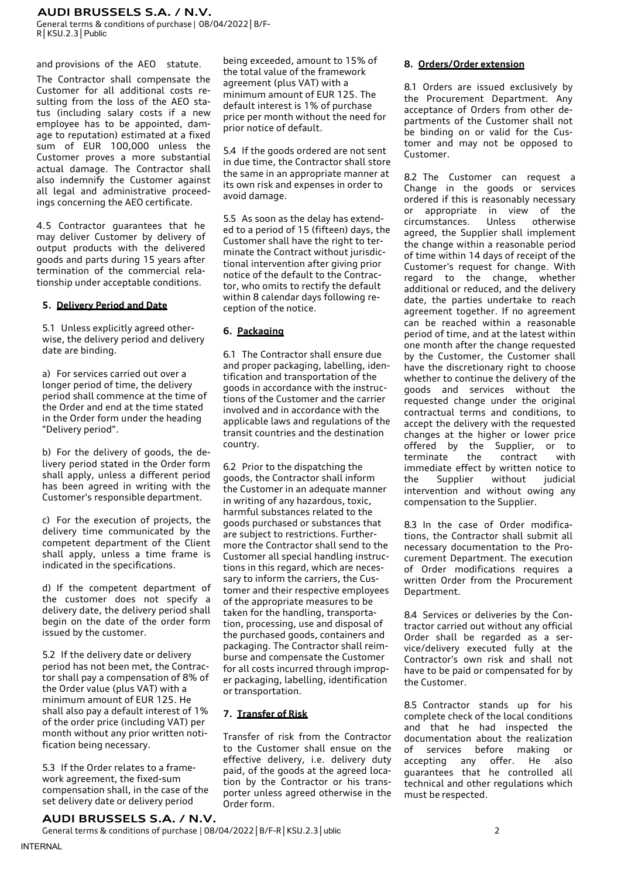General terms & conditions of purchase | 08/04/2022│B/F-R│KSU.2.3│Public

and provisions of the AEO statute.

The Contractor shall compensate the Customer for all additional costs resulting from the loss of the AEO status (including salary costs if a new employee has to be appointed, damage to reputation) estimated at a fixed sum of EUR 100,000 unless the Customer proves a more substantial actual damage. The Contractor shall also indemnify the Customer against all legal and administrative proceedings concerning the AEO certificate.

4.5 Contractor guarantees that he may deliver Customer by delivery of output products with the delivered goods and parts during 15 years after termination of the commercial relationship under acceptable conditions.

#### **5. Delivery Period and Date**

5.1 Unless explicitly agreed otherwise, the delivery period and delivery date are binding.

a) For services carried out over a longer period of time, the delivery period shall commence at the time of the Order and end at the time stated in the Order form under the heading "Delivery period".

b) For the delivery of goods, the delivery period stated in the Order form shall apply, unless a different period has been agreed in writing with the Customer's responsible department.

c) For the execution of projects, the delivery time communicated by the competent department of the Client shall apply, unless a time frame is indicated in the specifications.

d) If the competent department of the customer does not specify a delivery date, the delivery period shall begin on the date of the order form issued by the customer.

5.2 If the delivery date or delivery period has not been met, the Contractor shall pay a compensation of 8% of the Order value (plus VAT) with a minimum amount of EUR 125. He shall also pay a default interest of 1% of the order price (including VAT) per month without any prior written notification being necessary.

5.3 If the Order relates to a framework agreement, the fixed-sum compensation shall, in the case of the set delivery date or delivery period

being exceeded, amount to 15% of the total value of the framework agreement (plus VAT) with a minimum amount of EUR 125. The default interest is 1% of purchase price per month without the need for prior notice of default.

5.4 If the goods ordered are not sent in due time, the Contractor shall store the same in an appropriate manner at its own risk and expenses in order to avoid damage.

5.5 As soon as the delay has extended to a period of 15 (fifteen) days, the Customer shall have the right to terminate the Contract without jurisdictional intervention after giving prior notice of the default to the Contractor, who omits to rectify the default within 8 calendar days following reception of the notice.

#### **6. Packaging**

6.1 The Contractor shall ensure due and proper packaging, labelling, identification and transportation of the goods in accordance with the instructions of the Customer and the carrier involved and in accordance with the applicable laws and regulations of the transit countries and the destination country.

6.2 Prior to the dispatching the goods, the Contractor shall inform the Customer in an adequate manner in writing of any hazardous, toxic, harmful substances related to the goods purchased or substances that are subject to restrictions. Furthermore the Contractor shall send to the Customer all special handling instructions in this regard, which are necessary to inform the carriers, the Customer and their respective employees of the appropriate measures to be taken for the handling, transportation, processing, use and disposal of the purchased goods, containers and packaging. The Contractor shall reimburse and compensate the Customer for all costs incurred through improper packaging, labelling, identification or transportation.

#### **7. Transfer of Risk**

Transfer of risk from the Contractor to the Customer shall ensue on the effective delivery, i.e. delivery duty paid, of the goods at the agreed location by the Contractor or his transporter unless agreed otherwise in the Order form.

#### **8. Orders/Order extension**

8.1 Orders are issued exclusively by the Procurement Department. Any acceptance of Orders from other departments of the Customer shall not be binding on or valid for the Customer and may not be opposed to Customer.

8.2 The Customer can request a Change in the goods or services ordered if this is reasonably necessary or appropriate in view of the circumstances. Unless otherwise agreed, the Supplier shall implement the change within a reasonable period of time within 14 days of receipt of the Customer's request for change. With regard to the change, whether additional or reduced, and the delivery date, the parties undertake to reach agreement together. If no agreement can be reached within a reasonable period of time, and at the latest within one month after the change requested by the Customer, the Customer shall have the discretionary right to choose whether to continue the delivery of the goods and services without the requested change under the original contractual terms and conditions, to accept the delivery with the requested changes at the higher or lower price offered by the Supplier, or to terminate the contract with immediate effect by written notice to the Supplier without judicial intervention and without owing any compensation to the Supplier.

8.3 In the case of Order modifications, the Contractor shall submit all necessary documentation to the Procurement Department. The execution of Order modifications requires a written Order from the Procurement Department.

8.4 Services or deliveries by the Contractor carried out without any official Order shall be regarded as a service/delivery executed fully at the Contractor's own risk and shall not have to be paid or compensated for by the Customer.

8.5 Contractor stands up for his complete check of the local conditions and that he had inspected the documentation about the realization of services before making or accepting any offer. He also guarantees that he controlled all technical and other regulations which must be respected.

# **AUDI BRUSSELS S.A. / N.V.**

General terms & conditions of purchase | 08/04/2022│B/F-R│KSU.2.3│ublic 2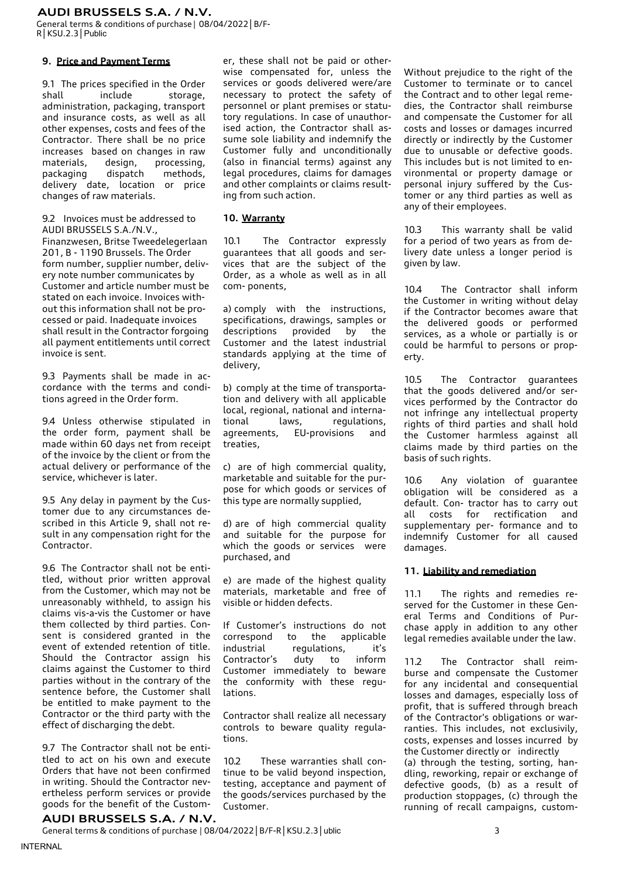General terms & conditions of purchase | 08/04/2022│B/F-R│KSU.2.3│Public

## **9. Price and Payment Terms**

9.1 The prices specified in the Order shall include storage, administration, packaging, transport and insurance costs, as well as all other expenses, costs and fees of the Contractor. There shall be no price increases based on changes in raw materials, design, processing, packaging dispatch methods, delivery date, location or price changes of raw materials.

9.2 Invoices must be addressed to AUDI BRUSSELS S.A./N.V.,

Finanzwesen, Britse Tweedelegerlaan 201, B - 1190 Brussels. The Order form number, supplier number, delivery note number communicates by Customer and article number must be stated on each invoice. Invoices without this information shall not be processed or paid. Inadequate invoices shall result in the Contractor forgoing all payment entitlements until correct invoice is sent.

9.3 Payments shall be made in accordance with the terms and conditions agreed in the Order form.

9.4 Unless otherwise stipulated in the order form, payment shall be made within 60 days net from receipt of the invoice by the client or from the actual delivery or performance of the service, whichever is later.

9.5 Any delay in payment by the Customer due to any circumstances described in this Article 9, shall not result in any compensation right for the Contractor.

9.6 The Contractor shall not be entitled, without prior written approval from the Customer, which may not be unreasonably withheld, to assign his claims vis-a-vis the Customer or have them collected by third parties. Consent is considered granted in the event of extended retention of title. Should the Contractor assign his claims against the Customer to third parties without in the contrary of the sentence before, the Customer shall be entitled to make payment to the Contractor or the third party with the effect of discharging the debt.

9.7 The Contractor shall not be entitled to act on his own and execute Orders that have not been confirmed in writing. Should the Contractor nevertheless perform services or provide goods for the benefit of the Custom-

er, these shall not be paid or otherwise compensated for, unless the services or goods delivered were/are necessary to protect the safety of personnel or plant premises or statutory regulations. In case of unauthorised action, the Contractor shall assume sole liability and indemnify the Customer fully and unconditionally (also in financial terms) against any legal procedures, claims for damages and other complaints or claims resulting from such action.

#### **10. Warranty**

10.1 The Contractor expressly guarantees that all goods and services that are the subject of the Order, as a whole as well as in all com- ponents,

a) comply with the instructions, specifications, drawings, samples or<br>descriptions provided by the descriptions provided by the Customer and the latest industrial standards applying at the time of delivery,

b) comply at the time of transportation and delivery with all applicable local, regional, national and international laws, regulations, agreements, EU-provisions and treaties,

c) are of high commercial quality, marketable and suitable for the purpose for which goods or services of this type are normally supplied,

d) are of high commercial quality and suitable for the purpose for which the goods or services were purchased, and

e) are made of the highest quality materials, marketable and free of visible or hidden defects.

If Customer's instructions do not correspond to the applicable industrial regulations, it's Contractor's duty to inform Customer immediately to beware the conformity with these regulations.

Contractor shall realize all necessary controls to beware quality regulations.

10.2 These warranties shall continue to be valid beyond inspection, testing, acceptance and payment of the goods/services purchased by the Customer.

Without prejudice to the right of the Customer to terminate or to cancel the Contract and to other legal remedies, the Contractor shall reimburse and compensate the Customer for all costs and losses or damages incurred directly or indirectly by the Customer due to unusable or defective goods. This includes but is not limited to environmental or property damage or personal injury suffered by the Customer or any third parties as well as any of their employees.

10.3 This warranty shall be valid for a period of two years as from delivery date unless a longer period is given by law.

10.4 The Contractor shall inform the Customer in writing without delay if the Contractor becomes aware that the delivered goods or performed services, as a whole or partially is or could be harmful to persons or property.

10.5 The Contractor guarantees that the goods delivered and/or services performed by the Contractor do not infringe any intellectual property rights of third parties and shall hold the Customer harmless against all claims made by third parties on the basis of such rights.

10.6 Any violation of guarantee obligation will be considered as a default. Con- tractor has to carry out all costs for rectification and supplementary per- formance and to indemnify Customer for all caused damages.

#### **11. Liability and remediation**

11.1 The rights and remedies reserved for the Customer in these General Terms and Conditions of Purchase apply in addition to any other legal remedies available under the law.

11.2 The Contractor shall reimburse and compensate the Customer for any incidental and consequential losses and damages, especially loss of profit, that is suffered through breach of the Contractor's obligations or warranties. This includes, not exclusivily, costs, expenses and losses incurred by the Customer directly or indirectly (a) through the testing, sorting, handling, reworking, repair or exchange of defective goods, (b) as a result of production stoppages, (c) through the running of recall campaigns, custom-

# **AUDI BRUSSELS S.A. / N.V.**

General terms & conditions of purchase | 08/04/2022 | B/F-R | KSU.2.3 | ublic 3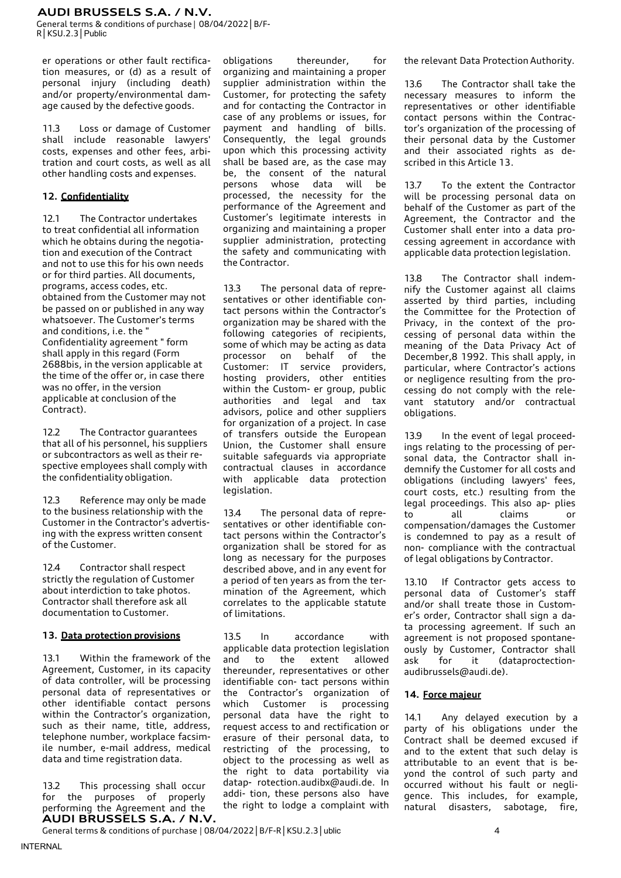General terms & conditions of purchase | 08/04/2022│B/F-R│KSU.2.3│Public

er operations or other fault rectification measures, or (d) as a result of personal injury (including death) and/or property/environmental damage caused by the defective goods.

11.3 Loss or damage of Customer shall include reasonable lawyers' costs, expenses and other fees, arbitration and court costs, as well as all other handling costs and expenses.

# **12. Confidentiality**

12.1 The Contractor undertakes to treat confidential all information which he obtains during the negotiation and execution of the Contract and not to use this for his own needs or for third parties. All documents, programs, access codes, etc. obtained from the Customer may not be passed on or published in any way whatsoever. The Customer's terms and conditions, i.e. the " Confidentiality agreement " form shall apply in this regard (Form 2688bis, in the version applicable at the time of the offer or, in case there was no offer, in the version applicable at conclusion of the Contract).

12.2 The Contractor guarantees that all of his personnel, his suppliers or subcontractors as well as their respective employees shall comply with the confidentiality obligation.

12.3 Reference may only be made to the business relationship with the Customer in the Contractor's advertising with the express written consent of the Customer.

12.4 Contractor shall respect strictly the regulation of Customer about interdiction to take photos. Contractor shall therefore ask all documentation to Customer.

# **13. Data protection provisions**

13.1 Within the framework of the Agreement, Customer, in its capacity of data controller, will be processing personal data of representatives or other identifiable contact persons within the Contractor's organization. such as their name, title, address, telephone number, workplace facsimile number, e-mail address, medical data and time registration data.

**AUDI BRUSSELS S.A. / N.V.** 13.2 This processing shall occur for the purposes of properly performing the Agreement and the

obligations thereunder, for organizing and maintaining a proper supplier administration within the Customer, for protecting the safety and for contacting the Contractor in case of any problems or issues, for payment and handling of bills. Consequently, the legal grounds upon which this processing activity shall be based are, as the case may be, the consent of the natural persons whose data will be processed, the necessity for the performance of the Agreement and Customer's legitimate interests in organizing and maintaining a proper supplier administration, protecting the safety and communicating with the Contractor.

13.3 The personal data of representatives or other identifiable contact persons within the Contractor's organization may be shared with the following categories of recipients, some of which may be acting as data processor on behalf of the Customer: IT service providers, hosting providers, other entities within the Custom- er group, public authorities and legal and tax advisors, police and other suppliers for organization of a project. In case of transfers outside the European Union, the Customer shall ensure suitable safeguards via appropriate contractual clauses in accordance with applicable data protection legislation.

13.4 The personal data of representatives or other identifiable contact persons within the Contractor's organization shall be stored for as long as necessary for the purposes described above, and in any event for a period of ten years as from the termination of the Agreement, which correlates to the applicable statute of limitations.

13.5 In accordance with applicable data protection legislation and to the extent allowed thereunder, representatives or other identifiable con- tact persons within the Contractor's organization of which Customer is processing personal data have the right to request access to and rectification or erasure of their personal data, to restricting of the processing, to object to the processing as well as the right to data portability via datap- [rotection.audibx@audi.de.](mailto:rotection.audibx@audi.de) In addi- tion, these persons also have the right to lodge a complaint with the relevant Data Protection Authority.

13.6 The Contractor shall take the necessary measures to inform the representatives or other identifiable contact persons within the Contractor's organization of the processing of their personal data by the Customer and their associated rights as described in this Article 13.

13.7 To the extent the Contractor will be processing personal data on behalf of the Customer as part of the Agreement, the Contractor and the Customer shall enter into a data processing agreement in accordance with applicable data protection legislation.

13.8 The Contractor shall indemnify the Customer against all claims asserted by third parties, including the Committee for the Protection of Privacy, in the context of the processing of personal data within the meaning of the Data Privacy Act of December,8 1992. This shall apply, in particular, where Contractor's actions or negligence resulting from the processing do not comply with the relevant statutory and/or contractual obligations.

13.9 In the event of legal proceedings relating to the processing of personal data, the Contractor shall indemnify the Customer for all costs and obligations (including lawyers' fees, court costs, etc.) resulting from the legal proceedings. This also ap- plies to all claims or compensation/damages the Customer is condemned to pay as a result of non- compliance with the contractual of legal obligations by Contractor.

13.10 If Contractor gets access to personal data of Customer's staff and/or shall treate those in Customer's order, Contractor shall sign a data processing agreement. If such an agreement is not proposed spontaneously by Customer, Contractor shall ask for it (dataproctectionaudibrussels@audi.de).

# **14. Force majeur**

14.1 Any delayed execution by a party of his obligations under the Contract shall be deemed excused if and to the extent that such delay is attributable to an event that is beyond the control of such party and occurred without his fault or negligence. This includes, for example, natural disasters, sabotage, fire,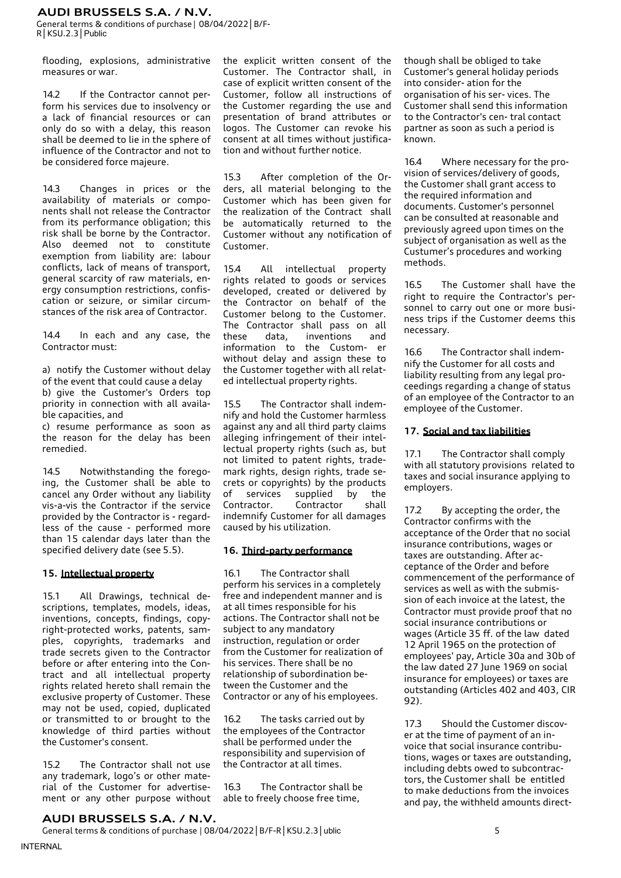General terms & conditions of purchase | 08/04/2022│B/F-R│KSU.2.3│Public

flooding, explosions, administrative measures or war.

14.2 If the Contractor cannot perform his services due to insolvency or a lack of financial resources or can only do so with a delay, this reason shall be deemed to lie in the sphere of influence of the Contractor and not to be considered force majeure.

14.3 Changes in prices or the availability of materials or components shall not release the Contractor from its performance obligation; this risk shall be borne by the Contractor. Also deemed not to constitute exemption from liability are: labour conflicts, lack of means of transport, general scarcity of raw materials, energy consumption restrictions, confiscation or seizure, or similar circumstances of the risk area of Contractor.

14.4 In each and any case, the Contractor must:

a) notify the Customer without delay of the event that could cause a delay b) give the Customer's Orders top priority in connection with all available capacities, and

c) resume performance as soon as the reason for the delay has been remedied.

14.5 Notwithstanding the foregoing, the Customer shall be able to cancel any Order without any liability vis-a-vis the Contractor if the service provided by the Contractor is - regardless of the cause - performed more than 15 calendar days later than the specified delivery date (see 5.5).

# **15. Intellectual property**

15.1 All Drawings, technical descriptions, templates, models, ideas, inventions, concepts, findings, copyright-protected works, patents, samples, copyrights, trademarks and trade secrets given to the Contractor before or after entering into the Contract and all intellectual property rights related hereto shall remain the exclusive property of Customer. These may not be used, copied, duplicated or transmitted to or brought to the knowledge of third parties without the Customer's consent.

15.2 The Contractor shall not use any trademark, logo's or other material of the Customer for advertisement or any other purpose without the explicit written consent of the Customer. The Contractor shall, in case of explicit written consent of the Customer, follow all instructions of the Customer regarding the use and presentation of brand attributes or logos. The Customer can revoke his consent at all times without justification and without further notice.

15.3 After completion of the Orders, all material belonging to the Customer which has been given for the realization of the Contract shall be automatically returned to the Customer without any notification of Customer.

15.4 All intellectual property rights related to goods or services developed, created or delivered by the Contractor on behalf of the Customer belong to the Customer. The Contractor shall pass on all these data, inventions and information to the Custom- er without delay and assign these to the Customer together with all related intellectual property rights.

15.5 The Contractor shall indemnify and hold the Customer harmless against any and all third party claims alleging infringement of their intellectual property rights (such as, but not limited to patent rights, trademark rights, design rights, trade secrets or copyrights) by the products of services supplied by the Contractor. Contractor shall indemnify Customer for all damages caused by his utilization.

#### **16. Third-party performance**

16.1 The Contractor shall perform his services in a completely free and independent manner and is at all times responsible for his actions. The Contractor shall not be subject to any mandatory instruction, regulation or order from the Customer for realization of his services. There shall be no relationship of subordination between the Customer and the Contractor or any of his employees.

16.2 The tasks carried out by the employees of the Contractor shall be performed under the responsibility and supervision of the Contractor at all times.

16.3 The Contractor shall be able to freely choose free time,

though shall be obliged to take Customer's general holiday periods into consider- ation for the organisation of his ser- vices. The Customer shall send this information to the Contractor's cen- tral contact partner as soon as such a period is known.

16.4 Where necessary for the provision of services/delivery of goods, the Customer shall grant access to the required information and documents. Customer's personnel can be consulted at reasonable and previously agreed upon times on the subject of organisation as well as the Custumer's procedures and working methods.

16.5 The Customer shall have the right to require the Contractor's personnel to carry out one or more business trips if the Customer deems this necessary.

16.6 The Contractor shall indemnify the Customer for all costs and liability resulting from any legal proceedings regarding a change of status of an employee of the Contractor to an employee of the Customer.

### **17. Social and tax liabilities**

17.1 The Contractor shall comply with all statutory provisions related to taxes and social insurance applying to employers.

17.2 By accepting the order, the Contractor confirms with the acceptance of the Order that no social insurance contributions, wages or taxes are outstanding. After acceptance of the Order and before commencement of the performance of services as well as with the submission of each invoice at the latest, the Contractor must provide proof that no social insurance contributions or wages (Article 35 ff. of the law dated 12 April 1965 on the protection of employees' pay, Article 30a and 30b of the law dated 27 June 1969 on social insurance for employees) or taxes are outstanding (Articles 402 and 403, CIR 92).

17.3 Should the Customer discover at the time of payment of an invoice that social insurance contributions, wages or taxes are outstanding, including debts owed to subcontractors, the Customer shall be entitled to make deductions from the invoices and pay, the withheld amounts direct-

# **AUDI BRUSSELS S.A. / N.V.**

General terms & conditions of purchase | 08/04/2022 | B/F-R | KSU.2.3 | ublic 5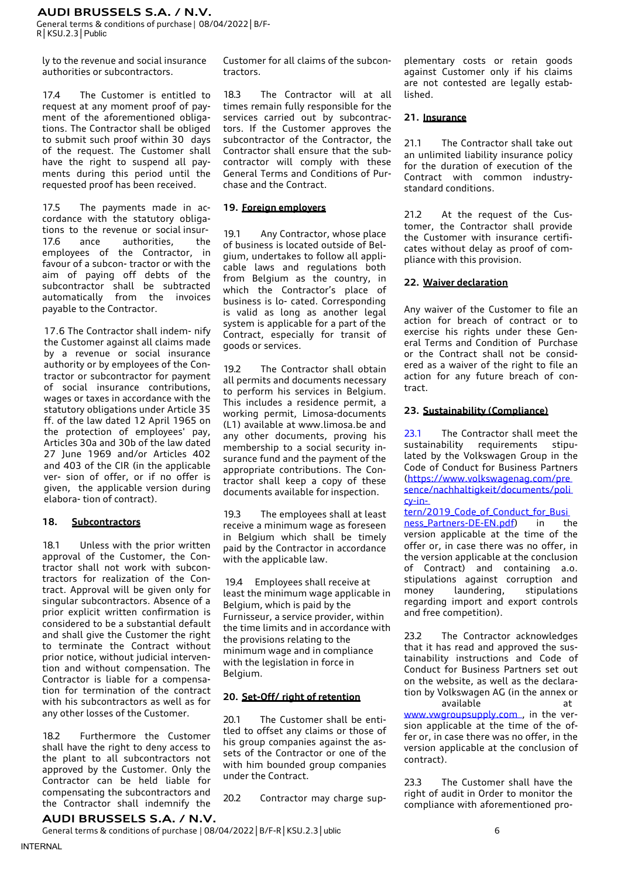General terms & conditions of purchase | 08/04/2022│B/F-R│KSU.2.3│Public

ly to the revenue and social insurance authorities or subcontractors.

17.4 The Customer is entitled to request at any moment proof of payment of the aforementioned obligations. The Contractor shall be obliged to submit such proof within 30 days of the request. The Customer shall have the right to suspend all payments during this period until the requested proof has been received.

17.5 The payments made in accordance with the statutory obligations to the revenue or social insur-17.6 ance authorities, the employees of the Contractor, in favour of a subcon- tractor or with the aim of paying off debts of the subcontractor shall be subtracted automatically from the invoices payable to the Contractor.

17.6 The Contractor shall indem- nify the Customer against all claims made by a revenue or social insurance authority or by employees of the Contractor or subcontractor for payment of social insurance contributions, wages or taxes in accordance with the statutory obligations under Article 35 ff. of the law dated 12 April 1965 on the protection of employees' pay, Articles 30a and 30b of the law dated 27 June 1969 and/or Articles 402 and 403 of the CIR (in the applicable ver- sion of offer, or if no offer is given, the applicable version during elabora- tion of contract).

# **18. Subcontractors**

18.1 Unless with the prior written approval of the Customer, the Contractor shall not work with subcontractors for realization of the Contract. Approval will be given only for singular subcontractors. Absence of a prior explicit written confirmation is considered to be a substantial default and shall give the Customer the right to terminate the Contract without prior notice, without judicial intervention and without compensation. The Contractor is liable for a compensation for termination of the contract with his subcontractors as well as for any other losses of the Customer.

18.2 Furthermore the Customer shall have the right to deny access to the plant to all subcontractors not approved by the Customer. Only the Contractor can be held liable for compensating the subcontractors and the Contractor shall indemnify the Customer for all claims of the subcontractors.

18.3 The Contractor will at all times remain fully responsible for the services carried out by subcontractors. If the Customer approves the subcontractor of the Contractor, the Contractor shall ensure that the subcontractor will comply with these General Terms and Conditions of Purchase and the Contract.

# **19. Foreign employers**

19.1 Any Contractor, whose place of business is located outside of Belgium, undertakes to follow all applicable laws and regulations both from Belgium as the country, in which the Contractor's place of business is lo- cated. Corresponding is valid as long as another legal system is applicable for a part of the Contract, especially for transit of goods or services.

19.2 The Contractor shall obtain all permits and documents necessary to perform his services in Belgium. This includes a residence permit, a working permit, Limosa-documents (L1) available at [www.limosa.be a](http://www.limosa.be/)nd any other documents, proving his membership to a social security insurance fund and the payment of the appropriate contributions. The Contractor shall keep a copy of these documents available for inspection.

19.3 The employees shall at least receive a minimum wage as foreseen in Belgium which shall be timely paid by the Contractor in accordance with the applicable law.

19.4 Employees shall receive at least the minimum wage applicable in Belgium, which is paid by the Furnisseur, a service provider, within the time limits and in accordance with the provisions relating to the minimum wage and in compliance with the legislation in force in Belgium.

# **20. Set-Off/ right of retention**

20.1 The Customer shall be entitled to offset any claims or those of his group companies against the assets of the Contractor or one of the with him bounded group companies under the Contract.

20.2 Contractor may charge sup-

plementary costs or retain goods against Customer only if his claims are not contested are legally established.

### **21. Insurance**

21.1 The Contractor shall take out an unlimited liability insurance policy for the duration of execution of the Contract with common industrystandard conditions.

21.2 At the request of the Customer, the Contractor shall provide the Customer with insurance certificates without delay as proof of compliance with this provision.

# **22. Waiver declaration**

Any waiver of the Customer to file an action for breach of contract or to exercise his rights under these General Terms and Condition of Purchase or the Contract shall not be considered as a waiver of the right to file an action for any future breach of contract.

# **23. Sustainability (Compliance)**

23.1 The Contractor shall meet the sustainability requirements stipulated by the Volkswagen Group in the Code of Conduct for Business Partners [\(https://www.volkswagenag.com/pre](https://www.volkswagenag.com/presence/nachhaltigkeit/documents/policy-intern/2019_Code_of_Conduct_for_Business_Partners-DE-EN.pdf)  [sence/nachhaltigkeit/documents/poli](https://www.volkswagenag.com/presence/nachhaltigkeit/documents/policy-intern/2019_Code_of_Conduct_for_Business_Partners-DE-EN.pdf)  [cy-in-](https://www.volkswagenag.com/presence/nachhaltigkeit/documents/policy-intern/2019_Code_of_Conduct_for_Business_Partners-DE-EN.pdf)

tern/2019 Code of Conduct for Busi

ness Partners-DE-EN.pdf) in the version applicable at the time of the offer or, in case there was no offer, in the version applicable at the conclusion of Contract) and containing a.o. stipulations against corruption and money laundering, stipulations regarding import and export controls and free competition).

23.2 The Contractor acknowledges that it has read and approved the sustainability instructions and Code of Conduct for Business Partners set out on the website, as well as the declaration by Volkswagen AG (in the annex or available at

www.vwgroupsupply.com, in the version applicable at the time of the offer or, in case there was no offer, in the version applicable at the conclusion of contract).

23.3 The Customer shall have the right of audit in Order to monitor the compliance with aforementioned pro-

# **AUDI BRUSSELS S.A. / N.V.**

General terms & conditions of purchase | 08/04/2022 | B/F-R | KSU.2.3 | ublic 6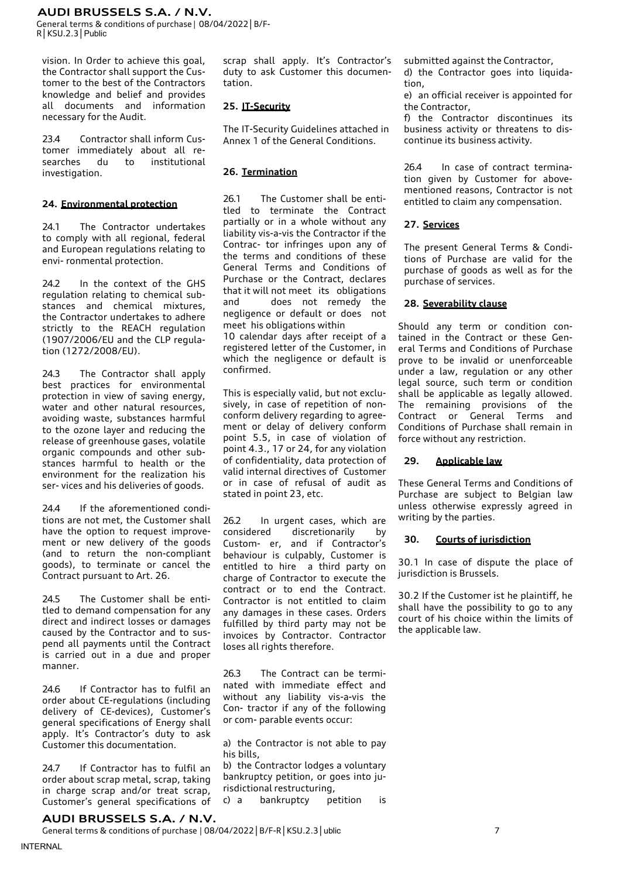General terms & conditions of purchase | 08/04/2022│B/F-R│KSU.2.3│Public

vision. In Order to achieve this goal, the Contractor shall support the Customer to the best of the Contractors knowledge and belief and provides all documents and information necessary for the Audit.

23.4 Contractor shall inform Customer immediately about all researches du to institutional investigation.

## **24. Environmental protection**

24.1 The Contractor undertakes to comply with all regional, federal and European regulations relating to envi- ronmental protection.

24.2 In the context of the GHS regulation relating to chemical substances and chemical mixtures, the Contractor undertakes to adhere strictly to the REACH regulation (1907/2006/EU and the CLP regulation (1272/2008/EU).

24.3 The Contractor shall apply best practices for environmental protection in view of saving energy, water and other natural resources, avoiding waste, substances harmful to the ozone layer and reducing the release of greenhouse gases, volatile organic compounds and other substances harmful to health or the environment for the realization his ser- vices and his deliveries of goods.

24.4 If the aforementioned conditions are not met, the Customer shall have the option to request improvement or new delivery of the goods (and to return the non-compliant goods), to terminate or cancel the Contract pursuant to Art. 26.

24.5 The Customer shall be entitled to demand compensation for any direct and indirect losses or damages caused by the Contractor and to suspend all payments until the Contract is carried out in a due and proper manner.

24.6 If Contractor has to fulfil an order about CE-regulations (including delivery of CE-devices), Customer's general specifications of Energy shall apply. It's Contractor's duty to ask Customer this documentation.

24.7 If Contractor has to fulfil an order about scrap metal, scrap, taking in charge scrap and/or treat scrap, Customer's general specifications of scrap shall apply. It's Contractor's duty to ask Customer this documentation.

# **25. IT-Security**

The IT-Security Guidelines attached in Annex 1 of the General Conditions.

# **26. Termination**

26.1 The Customer shall be entitled to terminate the Contract partially or in a whole without any liability vis-a-vis the Contractor if the Contrac- tor infringes upon any of the terms and conditions of these General Terms and Conditions of Purchase or the Contract, declares that it will not meet its obligations and does not remedy the negligence or default or does not meet his obligations within

10 calendar days after receipt of a registered letter of the Customer, in which the negligence or default is confirmed.

This is especially valid, but not exclusively, in case of repetition of nonconform delivery regarding to agreement or delay of delivery conform point 5.5, in case of violation of point 4.3., 17 or 24, for any violation of confidentiality, data protection of valid internal directives of Customer or in case of refusal of audit as stated in point 23, etc.

26.2 In urgent cases, which are considered discretionarily by Custom- er, and if Contractor's behaviour is culpably, Customer is entitled to hire a third party on charge of Contractor to execute the contract or to end the Contract. Contractor is not entitled to claim any damages in these cases. Orders fulfilled by third party may not be invoices by Contractor. Contractor loses all rights therefore.

26.3 The Contract can be terminated with immediate effect and without any liability vis-a-vis the Con- tractor if any of the following or com- parable events occur:

a) the Contractor is not able to pay his bills,

b) the Contractor lodges a voluntary bankruptcy petition, or goes into jurisdictional restructuring,

c) a bankruptcy petition is

submitted against the Contractor,

d) the Contractor goes into liquidation,

e) an official receiver is appointed for the Contractor,

f) the Contractor discontinues its business activity or threatens to discontinue its business activity.

26.4 In case of contract termination given by Customer for abovementioned reasons, Contractor is not entitled to claim any compensation.

# **27. Services**

The present General Terms & Conditions of Purchase are valid for the purchase of goods as well as for the purchase of services.

### **28. Severability clause**

Should any term or condition contained in the Contract or these General Terms and Conditions of Purchase prove to be invalid or unenforceable under a law, regulation or any other legal source, such term or condition shall be applicable as legally allowed. The remaining provisions of the Contract or General Terms and Conditions of Purchase shall remain in force without any restriction.

# **29. Applicable law**

These General Terms and Conditions of Purchase are subject to Belgian law unless otherwise expressly agreed in writing by the parties.

# **30. Courts of jurisdiction**

30.1 In case of dispute the place of jurisdiction is Brussels.

30.2 If the Customer ist he plaintiff, he shall have the possibility to go to any court of his choice within the limits of the applicable law.

General terms & conditions of purchase | 08/04/2022│B/F-R│KSU.2.3│ublic 7